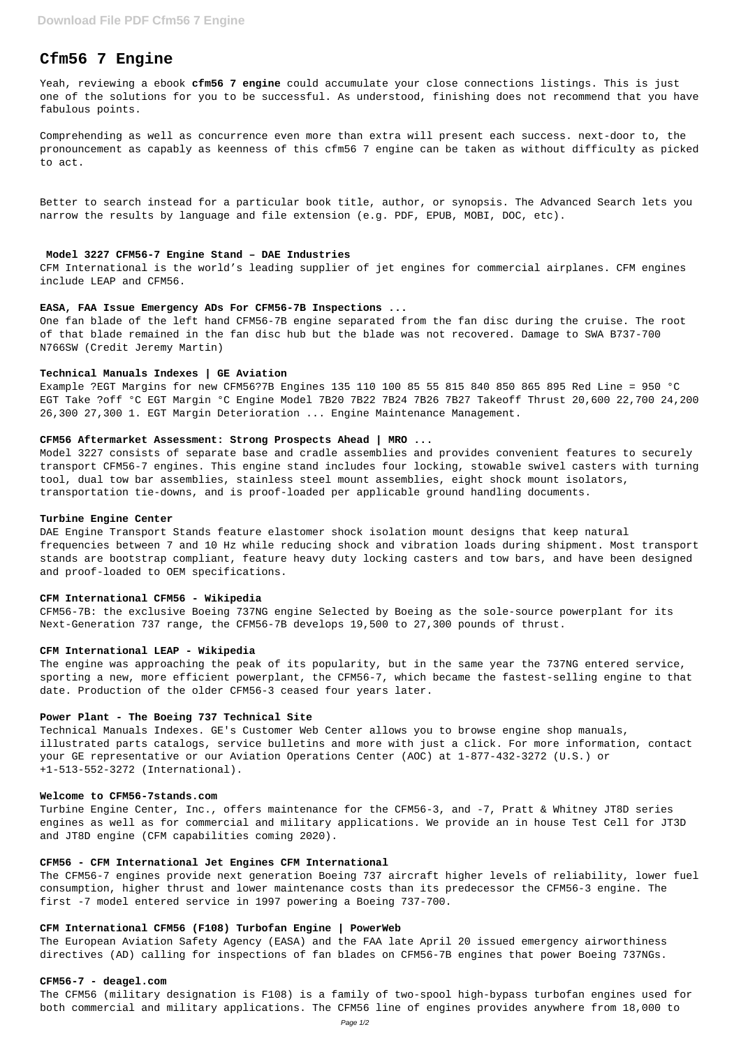# **Cfm56 7 Engine**

Yeah, reviewing a ebook **cfm56 7 engine** could accumulate your close connections listings. This is just one of the solutions for you to be successful. As understood, finishing does not recommend that you have fabulous points.

Comprehending as well as concurrence even more than extra will present each success. next-door to, the pronouncement as capably as keenness of this cfm56 7 engine can be taken as without difficulty as picked to act.

Better to search instead for a particular book title, author, or synopsis. The Advanced Search lets you narrow the results by language and file extension (e.g. PDF, EPUB, MOBI, DOC, etc).

#### **Model 3227 CFM56-7 Engine Stand – DAE Industries**

CFM International is the world's leading supplier of jet engines for commercial airplanes. CFM engines include LEAP and CFM56.

#### **EASA, FAA Issue Emergency ADs For CFM56-7B Inspections ...**

One fan blade of the left hand CFM56-7B engine separated from the fan disc during the cruise. The root of that blade remained in the fan disc hub but the blade was not recovered. Damage to SWA B737-700 N766SW (Credit Jeremy Martin)

#### **Technical Manuals Indexes | GE Aviation**

Example ?EGT Margins for new CFM56?7B Engines 135 110 100 85 55 815 840 850 865 895 Red Line = 950 °C EGT Take ?off °C EGT Margin °C Engine Model 7B20 7B22 7B24 7B26 7B27 Takeoff Thrust 20,600 22,700 24,200 26,300 27,300 1. EGT Margin Deterioration ... Engine Maintenance Management.

## **CFM56 Aftermarket Assessment: Strong Prospects Ahead | MRO ...**

Model 3227 consists of separate base and cradle assemblies and provides convenient features to securely transport CFM56-7 engines. This engine stand includes four locking, stowable swivel casters with turning tool, dual tow bar assemblies, stainless steel mount assemblies, eight shock mount isolators, transportation tie-downs, and is proof-loaded per applicable ground handling documents.

#### **Turbine Engine Center**

DAE Engine Transport Stands feature elastomer shock isolation mount designs that keep natural frequencies between 7 and 10 Hz while reducing shock and vibration loads during shipment. Most transport stands are bootstrap compliant, feature heavy duty locking casters and tow bars, and have been designed and proof-loaded to OEM specifications.

#### **CFM International CFM56 - Wikipedia**

CFM56-7B: the exclusive Boeing 737NG engine Selected by Boeing as the sole-source powerplant for its Next-Generation 737 range, the CFM56-7B develops 19,500 to 27,300 pounds of thrust.

## **CFM International LEAP - Wikipedia**

The engine was approaching the peak of its popularity, but in the same year the 737NG entered service, sporting a new, more efficient powerplant, the CFM56-7, which became the fastest-selling engine to that date. Production of the older CFM56-3 ceased four years later.

#### **Power Plant - The Boeing 737 Technical Site**

Technical Manuals Indexes. GE's Customer Web Center allows you to browse engine shop manuals, illustrated parts catalogs, service bulletins and more with just a click. For more information, contact your GE representative or our Aviation Operations Center (AOC) at 1-877-432-3272 (U.S.) or +1-513-552-3272 (International).

## **Welcome to CFM56-7stands.com**

Turbine Engine Center, Inc., offers maintenance for the CFM56-3, and -7, Pratt & Whitney JT8D series engines as well as for commercial and military applications. We provide an in house Test Cell for JT3D and JT8D engine (CFM capabilities coming 2020).

### **CFM56 - CFM International Jet Engines CFM International**

The CFM56-7 engines provide next generation Boeing 737 aircraft higher levels of reliability, lower fuel consumption, higher thrust and lower maintenance costs than its predecessor the CFM56-3 engine. The first -7 model entered service in 1997 powering a Boeing 737-700.

# **CFM International CFM56 (F108) Turbofan Engine | PowerWeb**

The European Aviation Safety Agency (EASA) and the FAA late April 20 issued emergency airworthiness directives (AD) calling for inspections of fan blades on CFM56-7B engines that power Boeing 737NGs.

#### **CFM56-7 - deagel.com**

The CFM56 (military designation is F108) is a family of two-spool high-bypass turbofan engines used for both commercial and military applications. The CFM56 line of engines provides anywhere from 18,000 to